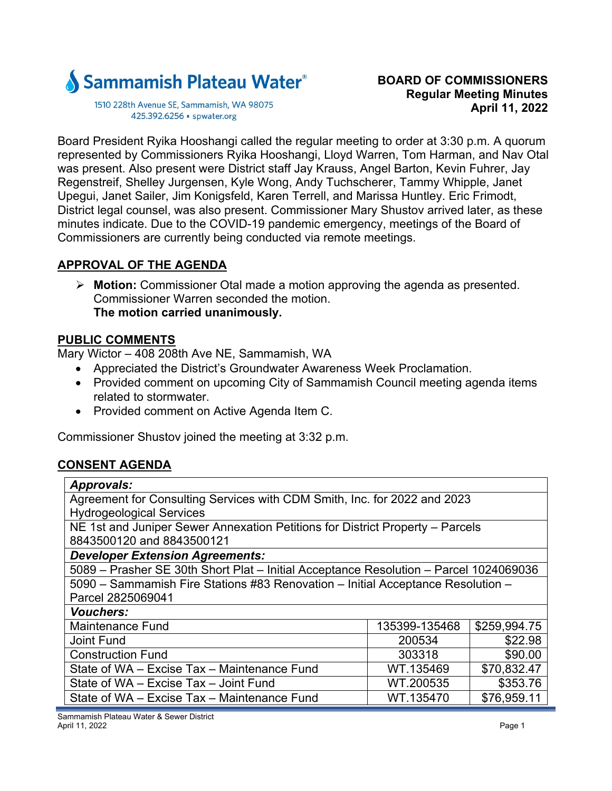

1510 228th Avenue SE, Sammamish, WA 98075 425.392.6256 · spwater.org

Board President Ryika Hooshangi called the regular meeting to order at 3:30 p.m. A quorum represented by Commissioners Ryika Hooshangi, Lloyd Warren, Tom Harman, and Nav Otal was present. Also present were District staff Jay Krauss, Angel Barton, Kevin Fuhrer, Jay Regenstreif, Shelley Jurgensen, Kyle Wong, Andy Tuchscherer, Tammy Whipple, Janet Upegui, Janet Sailer, Jim Konigsfeld, Karen Terrell, and Marissa Huntley. Eric Frimodt, District legal counsel, was also present. Commissioner Mary Shustov arrived later, as these minutes indicate. Due to the COVID-19 pandemic emergency, meetings of the Board of Commissioners are currently being conducted via remote meetings.

## **APPROVAL OF THE AGENDA**

 **Motion:** Commissioner Otal made a motion approving the agenda as presented. Commissioner Warren seconded the motion. **The motion carried unanimously.** 

## **PUBLIC COMMENTS**

Mary Wictor – 408 208th Ave NE, Sammamish, WA

- Appreciated the District's Groundwater Awareness Week Proclamation.
- Provided comment on upcoming City of Sammamish Council meeting agenda items related to stormwater.
- Provided comment on Active Agenda Item C.

Commissioner Shustov joined the meeting at 3:32 p.m.

# **CONSENT AGENDA**

| <b>Approvals:</b>                                                                     |               |              |  |
|---------------------------------------------------------------------------------------|---------------|--------------|--|
| Agreement for Consulting Services with CDM Smith, Inc. for 2022 and 2023              |               |              |  |
| <b>Hydrogeological Services</b>                                                       |               |              |  |
| NE 1st and Juniper Sewer Annexation Petitions for District Property - Parcels         |               |              |  |
| 8843500120 and 8843500121                                                             |               |              |  |
| <b>Developer Extension Agreements:</b>                                                |               |              |  |
| 5089 - Prasher SE 30th Short Plat - Initial Acceptance Resolution - Parcel 1024069036 |               |              |  |
| 5090 - Sammamish Fire Stations #83 Renovation - Initial Acceptance Resolution -       |               |              |  |
| Parcel 2825069041                                                                     |               |              |  |
| <b>Vouchers:</b>                                                                      |               |              |  |
| <b>Maintenance Fund</b>                                                               | 135399-135468 | \$259,994.75 |  |
| <b>Joint Fund</b>                                                                     | 200534        | \$22.98      |  |
| <b>Construction Fund</b>                                                              | 303318        | \$90.00      |  |
| State of WA - Excise Tax - Maintenance Fund                                           | WT.135469     | \$70,832.47  |  |
| State of WA - Excise Tax - Joint Fund                                                 | WT.200535     | \$353.76     |  |
| State of WA - Excise Tax - Maintenance Fund                                           | WT.135470     | \$76,959.11  |  |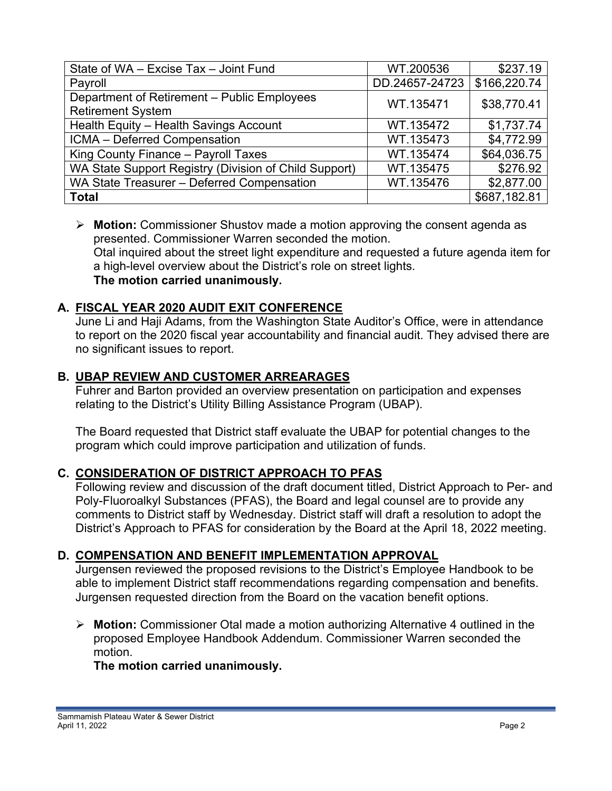| State of WA - Excise Tax - Joint Fund                 | WT.200536      | \$237.19     |
|-------------------------------------------------------|----------------|--------------|
| Payroll                                               | DD.24657-24723 | \$166,220.74 |
| Department of Retirement - Public Employees           | WT.135471      | \$38,770.41  |
| <b>Retirement System</b>                              |                |              |
| Health Equity - Health Savings Account                | WT.135472      | \$1,737.74   |
| ICMA - Deferred Compensation                          | WT.135473      | \$4,772.99   |
| King County Finance - Payroll Taxes                   | WT.135474      | \$64,036.75  |
| WA State Support Registry (Division of Child Support) | WT.135475      | \$276.92     |
| WA State Treasurer - Deferred Compensation            | WT.135476      | \$2,877.00   |
| <b>Total</b>                                          |                | \$687,182.81 |

 **Motion:** Commissioner Shustov made a motion approving the consent agenda as presented. Commissioner Warren seconded the motion. Otal inquired about the street light expenditure and requested a future agenda item for a high-level overview about the District's role on street lights. **The motion carried unanimously.** 

## **A. FISCAL YEAR 2020 AUDIT EXIT CONFERENCE**

June Li and Haji Adams, from the Washington State Auditor's Office, were in attendance to report on the 2020 fiscal year accountability and financial audit. They advised there are no significant issues to report.

## **B. UBAP REVIEW AND CUSTOMER ARREARAGES**

Fuhrer and Barton provided an overview presentation on participation and expenses relating to the District's Utility Billing Assistance Program (UBAP).

The Board requested that District staff evaluate the UBAP for potential changes to the program which could improve participation and utilization of funds.

## **C. CONSIDERATION OF DISTRICT APPROACH TO PFAS**

Following review and discussion of the draft document titled, District Approach to Per- and Poly-Fluoroalkyl Substances (PFAS), the Board and legal counsel are to provide any comments to District staff by Wednesday. District staff will draft a resolution to adopt the District's Approach to PFAS for consideration by the Board at the April 18, 2022 meeting.

## **D. COMPENSATION AND BENEFIT IMPLEMENTATION APPROVAL**

Jurgensen reviewed the proposed revisions to the District's Employee Handbook to be able to implement District staff recommendations regarding compensation and benefits. Jurgensen requested direction from the Board on the vacation benefit options.

 **Motion:** Commissioner Otal made a motion authorizing Alternative 4 outlined in the proposed Employee Handbook Addendum. Commissioner Warren seconded the motion.

## **The motion carried unanimously.**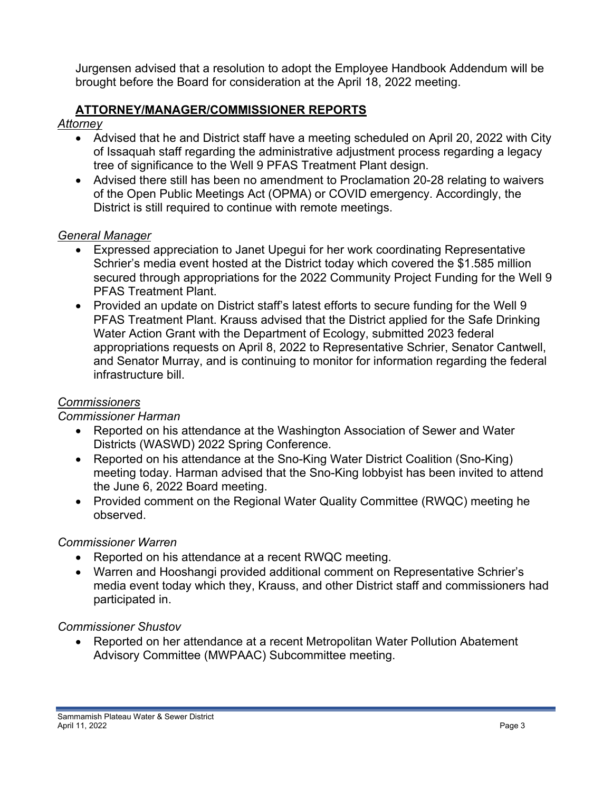Jurgensen advised that a resolution to adopt the Employee Handbook Addendum will be brought before the Board for consideration at the April 18, 2022 meeting.

## **ATTORNEY/MANAGER/COMMISSIONER REPORTS**

*Attorney* 

- Advised that he and District staff have a meeting scheduled on April 20, 2022 with City of Issaquah staff regarding the administrative adjustment process regarding a legacy tree of significance to the Well 9 PFAS Treatment Plant design.
- Advised there still has been no amendment to Proclamation 20-28 relating to waivers of the Open Public Meetings Act (OPMA) or COVID emergency. Accordingly, the District is still required to continue with remote meetings.

#### *General Manager*

- Expressed appreciation to Janet Upegui for her work coordinating Representative Schrier's media event hosted at the District today which covered the \$1.585 million secured through appropriations for the 2022 Community Project Funding for the Well 9 PFAS Treatment Plant.
- Provided an update on District staff's latest efforts to secure funding for the Well 9 PFAS Treatment Plant. Krauss advised that the District applied for the Safe Drinking Water Action Grant with the Department of Ecology, submitted 2023 federal appropriations requests on April 8, 2022 to Representative Schrier, Senator Cantwell, and Senator Murray, and is continuing to monitor for information regarding the federal infrastructure bill.

### *Commissioners*

#### *Commissioner Harman*

- Reported on his attendance at the Washington Association of Sewer and Water Districts (WASWD) 2022 Spring Conference.
- Reported on his attendance at the Sno-King Water District Coalition (Sno-King) meeting today. Harman advised that the Sno-King lobbyist has been invited to attend the June 6, 2022 Board meeting.
- Provided comment on the Regional Water Quality Committee (RWQC) meeting he observed.

#### *Commissioner Warren*

- Reported on his attendance at a recent RWQC meeting.
- Warren and Hooshangi provided additional comment on Representative Schrier's media event today which they, Krauss, and other District staff and commissioners had participated in.

#### *Commissioner Shustov*

 Reported on her attendance at a recent Metropolitan Water Pollution Abatement Advisory Committee (MWPAAC) Subcommittee meeting.